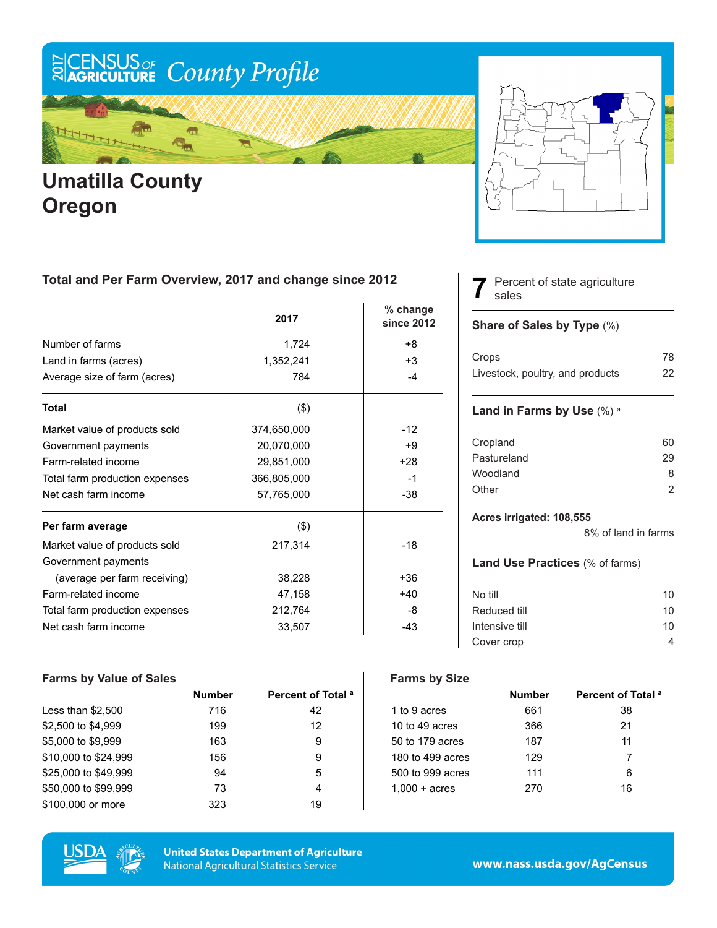# ECENSUS OF County Profile

### ¢  $\frac{1}{2}$

### **Umatilla County Oregon**



#### **Total and Per Farm Overview, 2017 and change since 2012**

|                                | 2017        | % change<br>since 2012 |
|--------------------------------|-------------|------------------------|
| Number of farms                | 1,724       | $+8$                   |
| Land in farms (acres)          | 1,352,241   | $+3$                   |
| Average size of farm (acres)   | 784         | $-4$                   |
| <b>Total</b>                   | $($ \$)     |                        |
| Market value of products sold  | 374,650,000 | $-12$                  |
| Government payments            | 20,070,000  | +9                     |
| Farm-related income            | 29,851,000  | $+28$                  |
| Total farm production expenses | 366,805,000 | $-1$                   |
| Net cash farm income           | 57,765,000  | $-38$                  |
| Per farm average               | $($ \$)     |                        |
| Market value of products sold  | 217,314     | $-18$                  |
| Government payments            |             |                        |
| (average per farm receiving)   | 38,228      | $+36$                  |
| Farm-related income            | 47,158      | $+40$                  |
| Total farm production expenses | 212,764     | -8                     |
| Net cash farm income           | 33,507      | $-43$                  |

#### Percent of state agriculture sales

#### **Share of Sales by Type** (%)

**7**

| Crops                            | 78 |
|----------------------------------|----|
| Livestock, poultry, and products | 22 |

#### **Land in Farms by Use** (%) **<sup>a</sup>**

| Cropland    | 60 |
|-------------|----|
| Pastureland | 29 |
| Woodland    | 8  |
| Other       | 2  |
|             |    |

#### **Acres irrigated: 108,555**

8% of land in farms

#### **Land Use Practices** (% of farms)

| No till        | 10 |
|----------------|----|
| Reduced till   | 10 |
| Intensive till | 10 |
| Cover crop     |    |
|                |    |

| <b>Farms by Value of Sales</b> |               |                               | <b>Farms by Size</b>   |               |                               |
|--------------------------------|---------------|-------------------------------|------------------------|---------------|-------------------------------|
|                                | <b>Number</b> | Percent of Total <sup>a</sup> |                        | <b>Number</b> | Percent of Total <sup>a</sup> |
| Less than $$2,500$             | 716           | 42                            | 1 to 9 acres           | 661           | 38                            |
| \$2,500 to \$4,999             | 199           | 12                            | 10 to 49 acres         | 366           | 21                            |
| \$5,000 to \$9,999             | 163           | 9                             | 50 to 179 acres        | 187           | 11                            |
| \$10,000 to \$24,999           | 156           | 9                             | 180 to 499 acres       | 129           |                               |
| \$25,000 to \$49,999           | 94            | 5                             | 500 to 999 acres       | 111           | 6                             |
| \$50,000 to \$99,999           | 73            | 4                             | $1.000 + \text{acres}$ | 270           | 16                            |
| \$100,000 or more              | 323           | 19                            |                        |               |                               |



**United States Department of Agriculture National Agricultural Statistics Service** 

www.nass.usda.gov/AgCensus